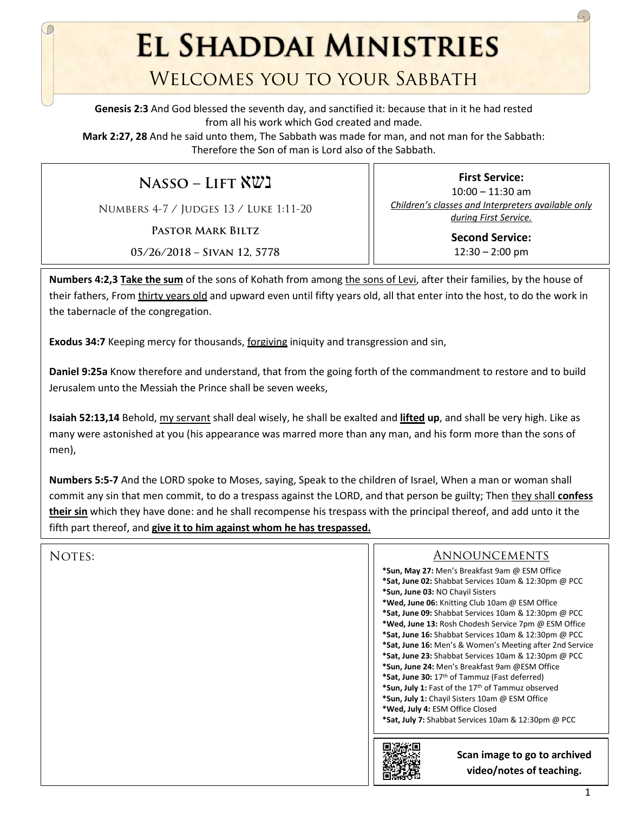**EL SHADDAI MINISTRIES** 

## Welcomes you to your Sabbath

**Genesis 2:3** And God blessed the seventh day, and sanctified it: because that in it he had rested from all his work which God created and made.

**Mark 2:27, 28** And he said unto them, The Sabbath was made for man, and not man for the Sabbath: Therefore the Son of man is Lord also of the Sabbath.

**Nasso – Lift** נשא

Numbers 4-7 / Judges 13 / Luke 1:11-20

**Pastor Mark Biltz**

10:00 – 11:30 am *Children's classes and Interpreters available only during First Service.* **Second Service:** 

**First Service:** 

 $12:30 - 2:00$  pm

**05/26/2018 – Sivan 12, 5778**

**Numbers 4:2,3 Take the sum** of the sons of Kohath from among the sons of Levi, after their families, by the house of their fathers, From thirty years old and upward even until fifty years old, all that enter into the host, to do the work in the tabernacle of the congregation.

**Exodus 34:7** Keeping mercy for thousands, forgiving iniquity and transgression and sin,

**Daniel 9:25a** Know therefore and understand, that from the going forth of the commandment to restore and to build Jerusalem unto the Messiah the Prince shall be seven weeks,

**Isaiah 52:13,14** Behold, my servant shall deal wisely, he shall be exalted and **lifted up**, and shall be very high. Like as many were astonished at you (his appearance was marred more than any man, and his form more than the sons of men),

**Numbers 5:5-7** And the LORD spoke to Moses, saying, Speak to the children of Israel, When a man or woman shall commit any sin that men commit, to do a trespass against the LORD, and that person be guilty; Then they shall **confess their sin** which they have done: and he shall recompense his trespass with the principal thereof, and add unto it the fifth part thereof, and **give it to him against whom he has trespassed.**

| NOTES: | <b>ANNOUNCEMENTS</b>                                          |
|--------|---------------------------------------------------------------|
|        | *Sun, May 27: Men's Breakfast 9am @ ESM Office                |
|        | *Sat, June 02: Shabbat Services 10am & 12:30pm @ PCC          |
|        | *Sun, June 03: NO Chayil Sisters                              |
|        | *Wed, June 06: Knitting Club 10am @ ESM Office                |
|        | *Sat, June 09: Shabbat Services 10am & 12:30pm @ PCC          |
|        | *Wed, June 13: Rosh Chodesh Service 7pm @ ESM Office          |
|        | *Sat, June 16: Shabbat Services 10am & 12:30pm @ PCC          |
|        | *Sat, June 16: Men's & Women's Meeting after 2nd Service      |
|        | *Sat, June 23: Shabbat Services 10am & 12:30pm @ PCC          |
|        | *Sun, June 24: Men's Breakfast 9am @ESM Office                |
|        | *Sat, June 30: 17 <sup>th</sup> of Tammuz (Fast deferred)     |
|        | *Sun, July 1: Fast of the 17 <sup>th</sup> of Tammuz observed |
|        | *Sun, July 1: Chayil Sisters 10am @ ESM Office                |
|        | *Wed, July 4: ESM Office Closed                               |
|        | *Sat, July 7: Shabbat Services 10am & 12:30pm @ PCC           |
|        |                                                               |
|        | Scan image to go to archived<br>video/notes of teaching.      |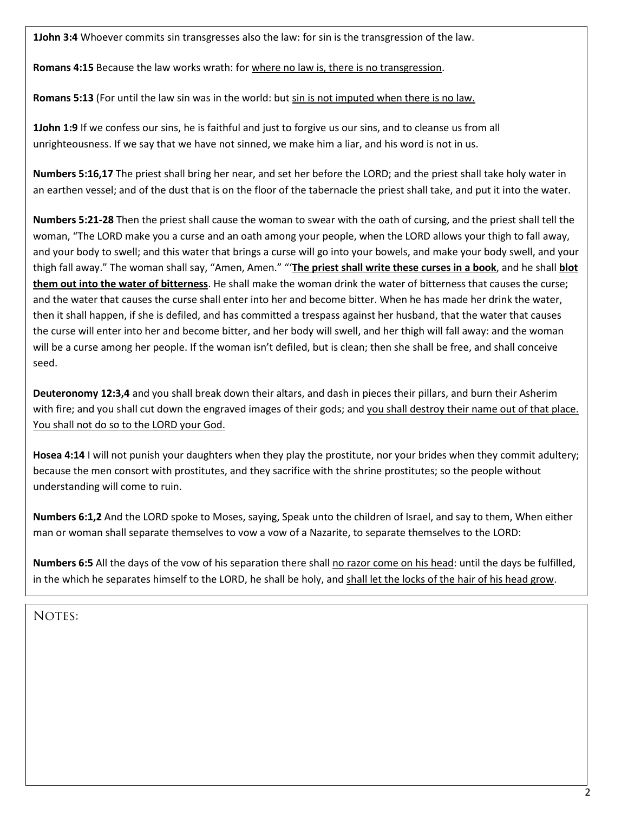**1John 3:4** Whoever commits sin transgresses also the law: for sin is the transgression of the law.

**Romans 4:15** Because the law works wrath: for where no law is, there is no transgression.

**Romans 5:13** (For until the law sin was in the world: but sin is not imputed when there is no law.

**1John 1:9** If we confess our sins, he is faithful and just to forgive us our sins, and to cleanse us from all unrighteousness. If we say that we have not sinned, we make him a liar, and his word is not in us.

**Numbers 5:16,17** The priest shall bring her near, and set her before the LORD; and the priest shall take holy water in an earthen vessel; and of the dust that is on the floor of the tabernacle the priest shall take, and put it into the water.

**Numbers 5:21-28** Then the priest shall cause the woman to swear with the oath of cursing, and the priest shall tell the woman, "The LORD make you a curse and an oath among your people, when the LORD allows your thigh to fall away, and your body to swell; and this water that brings a curse will go into your bowels, and make your body swell, and your thigh fall away." The woman shall say, "Amen, Amen." "'**The priest shall write these curses in a book**, and he shall **blot them out into the water of bitterness**. He shall make the woman drink the water of bitterness that causes the curse; and the water that causes the curse shall enter into her and become bitter. When he has made her drink the water, then it shall happen, if she is defiled, and has committed a trespass against her husband, that the water that causes the curse will enter into her and become bitter, and her body will swell, and her thigh will fall away: and the woman will be a curse among her people. If the woman isn't defiled, but is clean; then she shall be free, and shall conceive seed.

**Deuteronomy 12:3,4** and you shall break down their altars, and dash in pieces their pillars, and burn their Asherim with fire; and you shall cut down the engraved images of their gods; and you shall destroy their name out of that place. You shall not do so to the LORD your God.

**Hosea 4:14** I will not punish your daughters when they play the prostitute, nor your brides when they commit adultery; because the men consort with prostitutes, and they sacrifice with the shrine prostitutes; so the people without understanding will come to ruin.

**Numbers 6:1,2** And the LORD spoke to Moses, saying, Speak unto the children of Israel, and say to them, When either man or woman shall separate themselves to vow a vow of a Nazarite, to separate themselves to the LORD:

**Numbers 6:5** All the days of the vow of his separation there shall no razor come on his head: until the days be fulfilled, in the which he separates himself to the LORD, he shall be holy, and shall let the locks of the hair of his head grow.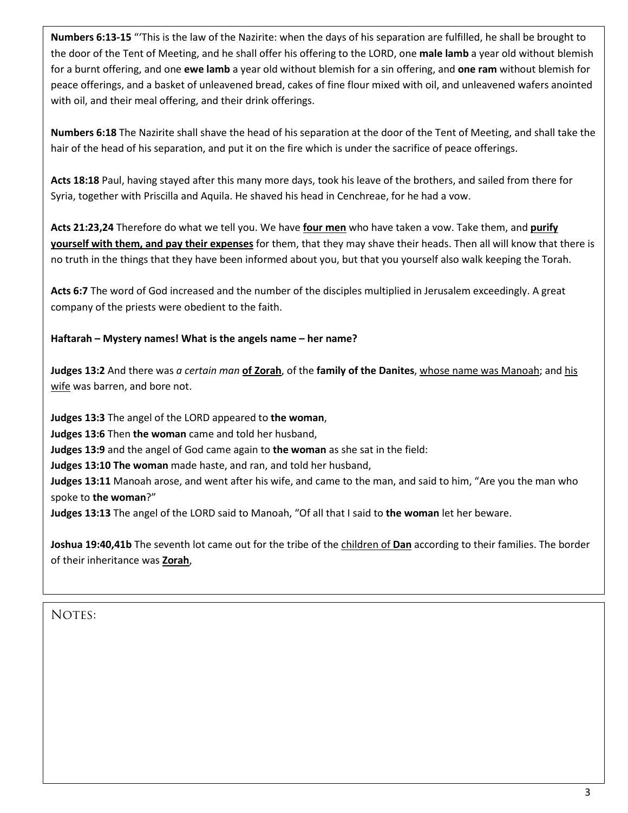**Numbers 6:13-15** "'This is the law of the Nazirite: when the days of his separation are fulfilled, he shall be brought to the door of the Tent of Meeting, and he shall offer his offering to the LORD, one **male lamb** a year old without blemish for a burnt offering, and one **ewe lamb** a year old without blemish for a sin offering, and **one ram** without blemish for peace offerings, and a basket of unleavened bread, cakes of fine flour mixed with oil, and unleavened wafers anointed with oil, and their meal offering, and their drink offerings.

**Numbers 6:18** The Nazirite shall shave the head of his separation at the door of the Tent of Meeting, and shall take the hair of the head of his separation, and put it on the fire which is under the sacrifice of peace offerings.

**Acts 18:18** Paul, having stayed after this many more days, took his leave of the brothers, and sailed from there for Syria, together with Priscilla and Aquila. He shaved his head in Cenchreae, for he had a vow.

**Acts 21:23,24** Therefore do what we tell you. We have **four men** who have taken a vow. Take them, and **purify yourself with them, and pay their expenses** for them, that they may shave their heads. Then all will know that there is no truth in the things that they have been informed about you, but that you yourself also walk keeping the Torah.

**Acts 6:7** The word of God increased and the number of the disciples multiplied in Jerusalem exceedingly. A great company of the priests were obedient to the faith.

## **Haftarah – Mystery names! What is the angels name – her name?**

**Judges 13:2** And there was *a certain man* **of Zorah**, of the **family of the Danites**, whose name was Manoah; and his wife was barren, and bore not.

**Judges 13:3** The angel of the LORD appeared to **the woman**,

**Judges 13:6** Then **the woman** came and told her husband,

**Judges 13:9** and the angel of God came again to **the woman** as she sat in the field:

**Judges 13:10 The woman** made haste, and ran, and told her husband,

**Judges 13:11** Manoah arose, and went after his wife, and came to the man, and said to him, "Are you the man who spoke to **the woman**?"

**Judges 13:13** The angel of the LORD said to Manoah, "Of all that I said to **the woman** let her beware.

**Joshua 19:40,41b** The seventh lot came out for the tribe of the children of **Dan** according to their families. The border of their inheritance was **Zorah**,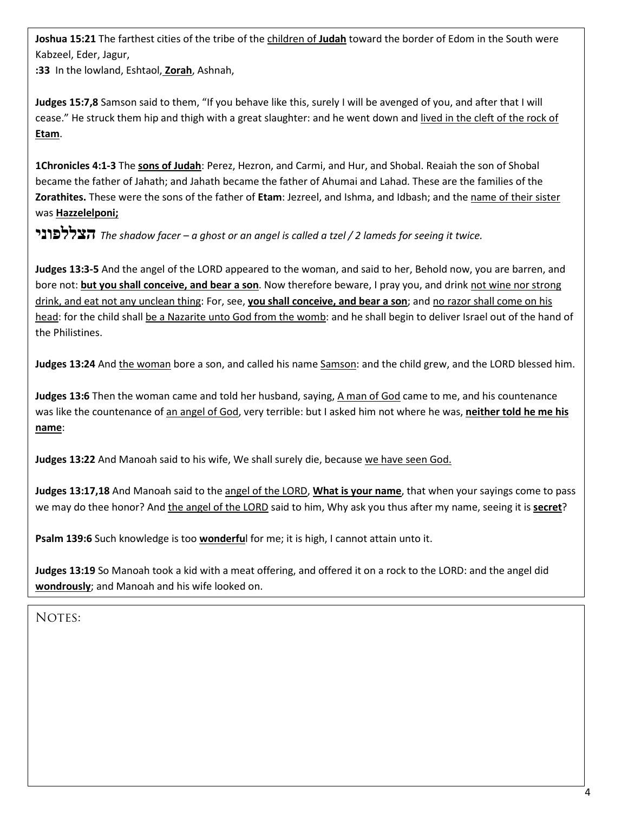**Joshua 15:21** The farthest cities of the tribe of the children of **Judah** toward the border of Edom in the South were Kabzeel, Eder, Jagur,

**:33** In the lowland, Eshtaol, **Zorah**, Ashnah,

**Judges 15:7,8** Samson said to them, "If you behave like this, surely I will be avenged of you, and after that I will cease." He struck them hip and thigh with a great slaughter: and he went down and lived in the cleft of the rock of **Etam**.

**1Chronicles 4:1-3** The **sons of Judah**: Perez, Hezron, and Carmi, and Hur, and Shobal. Reaiah the son of Shobal became the father of Jahath; and Jahath became the father of Ahumai and Lahad. These are the families of the **Zorathites.** These were the sons of the father of **Etam**: Jezreel, and Ishma, and Idbash; and the name of their sister was **Hazzelelponi;**

**הצללפוני** *The shadow facer – a ghost or an angel is called a tzel / 2 lameds for seeing it twice.*

**Judges 13:3-5** And the angel of the LORD appeared to the woman, and said to her, Behold now, you are barren, and bore not: **but you shall conceive, and bear a son**. Now therefore beware, I pray you, and drink not wine nor strong drink, and eat not any unclean thing: For, see, **you shall conceive, and bear a son**; and no razor shall come on his head: for the child shall be a Nazarite unto God from the womb: and he shall begin to deliver Israel out of the hand of the Philistines.

**Judges 13:24** And the woman bore a son, and called his name Samson: and the child grew, and the LORD blessed him.

**Judges 13:6** Then the woman came and told her husband, saying, A man of God came to me, and his countenance was like the countenance of an angel of God, very terrible: but I asked him not where he was, **neither told he me his name**:

**Judges 13:22** And Manoah said to his wife, We shall surely die, because we have seen God.

**Judges 13:17,18** And Manoah said to the angel of the LORD, **What is your name**, that when your sayings come to pass we may do thee honor? And the angel of the LORD said to him, Why ask you thus after my name, seeing it is **secret**?

**Psalm 139:6** Such knowledge is too **wonderfu**l for me; it is high, I cannot attain unto it.

**Judges 13:19** So Manoah took a kid with a meat offering, and offered it on a rock to the LORD: and the angel did **wondrously**; and Manoah and his wife looked on.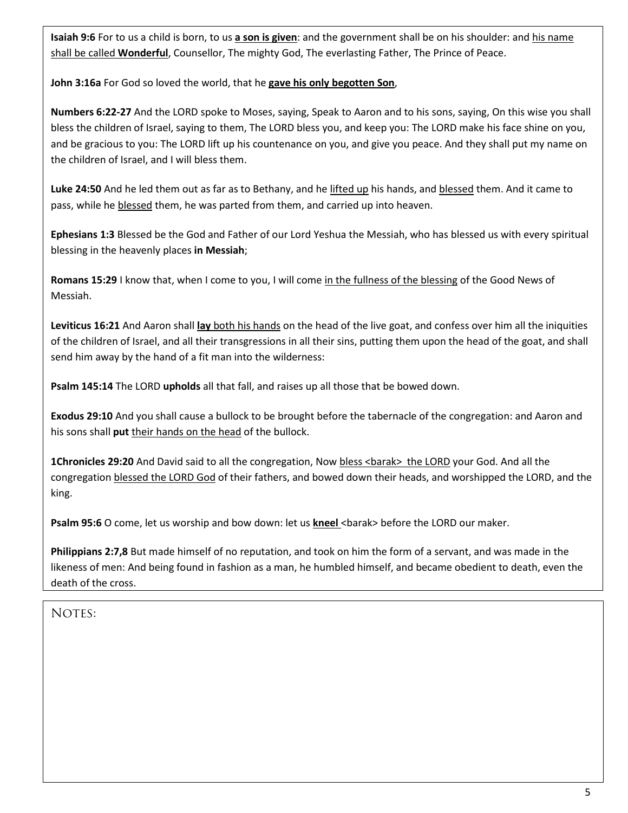**Isaiah 9:6** For to us a child is born, to us **a son is given**: and the government shall be on his shoulder: and his name shall be called **Wonderful**, Counsellor, The mighty God, The everlasting Father, The Prince of Peace.

**John 3:16a** For God so loved the world, that he **gave his only begotten Son**,

**Numbers 6:22-27** And the LORD spoke to Moses, saying, Speak to Aaron and to his sons, saying, On this wise you shall bless the children of Israel, saying to them, The LORD bless you, and keep you: The LORD make his face shine on you, and be gracious to you: The LORD lift up his countenance on you, and give you peace. And they shall put my name on the children of Israel, and I will bless them.

**Luke 24:50** And he led them out as far as to Bethany, and he lifted up his hands, and blessed them. And it came to pass, while he blessed them, he was parted from them, and carried up into heaven.

**Ephesians 1:3** Blessed be the God and Father of our Lord Yeshua the Messiah, who has blessed us with every spiritual blessing in the heavenly places **in Messiah**;

**Romans 15:29** I know that, when I come to you, I will come in the fullness of the blessing of the Good News of Messiah.

**Leviticus 16:21** And Aaron shall **lay** both his hands on the head of the live goat, and confess over him all the iniquities of the children of Israel, and all their transgressions in all their sins, putting them upon the head of the goat, and shall send him away by the hand of a fit man into the wilderness:

**Psalm 145:14** The LORD **upholds** all that fall, and raises up all those that be bowed down.

**Exodus 29:10** And you shall cause a bullock to be brought before the tabernacle of the congregation: and Aaron and his sons shall **put** their hands on the head of the bullock.

**1Chronicles 29:20** And David said to all the congregation, Now bless <br/>barak> the LORD your God. And all the congregation blessed the LORD God of their fathers, and bowed down their heads, and worshipped the LORD, and the king.

**Psalm 95:6** O come, let us worship and bow down: let us **kneel** <br/>barak> before the LORD our maker.

**Philippians 2:7,8** But made himself of no reputation, and took on him the form of a servant, and was made in the likeness of men: And being found in fashion as a man, he humbled himself, and became obedient to death, even the death of the cross.